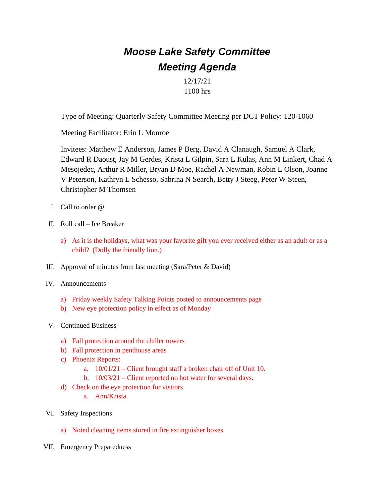## *Moose Lake Safety Committee Meeting Agenda*

12/17/21 1100 hrs

Type of Meeting: Quarterly Safety Committee Meeting per DCT Policy: 120-1060

Meeting Facilitator: Erin L Monroe

Invitees: Matthew E Anderson, James P Berg, David A Clanaugh, Samuel A Clark, Edward R Daoust, Jay M Gerdes, Krista L Gilpin, Sara L Kulas, Ann M Linkert, Chad A Mesojedec, Arthur R Miller, Bryan D Moe, Rachel A Newman, Robin L Olson, Joanne V Peterson, Kathryn L Schesso, Sabrina N Search, Betty J Steeg, Peter W Steen, Christopher M Thomsen

- I. Call to order @
- II. Roll call Ice Breaker
	- a) As it is the holidays, what was your favorite gift you ever received either as an adult or as a child? (Dolly the friendly lion.)
- III. Approval of minutes from last meeting (Sara/Peter & David)
- IV. Announcements
	- a) Friday weekly Safety Talking Points posted to announcements page
	- b) New eye protection policy in effect as of Monday
- V. Continued Business
	- a) Fall protection around the chiller towers
	- b) Fall protection in penthouse areas
	- c) Phoenix Reports:
		- a. 10/01/21 Client brought staff a broken chair off of Unit 10.
		- b. 10/03/21 Client reported no hot water for several days.
	- d) Check on the eye protection for visitors
		- a. Ann/Krista
- VI. Safety Inspections
	- a) Noted cleaning items stored in fire extinguisher boxes.
- VII. Emergency Preparedness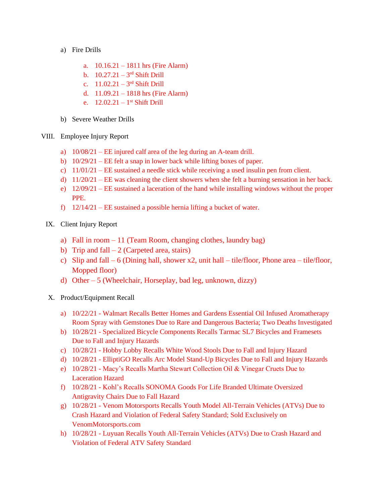- a) Fire Drills
	- a. 10.16.21 1811 hrs (Fire Alarm)
	- b.  $10.27.21 3^{rd}$  Shift Drill
	- c.  $11.02.21 3^{rd}$  Shift Drill
	- d. 11.09.21 1818 hrs (Fire Alarm)
	- e.  $12.02.21 1$ <sup>st</sup> Shift Drill
- b) Severe Weather Drills
- VIII. Employee Injury Report
	- a) 10/08/21 EE injured calf area of the leg during an A-team drill.
	- b) 10/29/21 EE felt a snap in lower back while lifting boxes of paper.
	- c)  $11/01/21$  EE sustained a needle stick while receiving a used insulin pen from client.
	- d)  $11/20/21$  EE was cleaning the client showers when she felt a burning sensation in her back.
	- e) 12/09/21 EE sustained a laceration of the hand while installing windows without the proper PPE.
	- f) 12/14/21 EE sustained a possible hernia lifting a bucket of water.
	- IX. Client Injury Report
		- a) Fall in room 11 (Team Room, changing clothes, laundry bag)
		- b) Trip and fall  $-2$  (Carpeted area, stairs)
		- c) Slip and fall 6 (Dining hall, shower x2, unit hall tile/floor, Phone area tile/floor, Mopped floor)
		- d) Other 5 (Wheelchair, Horseplay, bad leg, unknown, dizzy)
	- X. Product/Equipment Recall
		- a) 10/22/21 Walmart Recalls Better Homes and Gardens Essential Oil Infused Aromatherapy Room Spray with Gemstones Due to Rare and Dangerous Bacteria; Two Deaths Investigated
		- b) 10/28/21 Specialized Bicycle Components Recalls Tarmac SL7 Bicycles and Framesets Due to Fall and Injury Hazards
		- c) 10/28/21 Hobby Lobby Recalls White Wood Stools Due to Fall and Injury Hazard
		- d) 10/28/21 ElliptiGO Recalls Arc Model Stand-Up Bicycles Due to Fall and Injury Hazards
		- e) 10/28/21 Macy's Recalls Martha Stewart Collection Oil & Vinegar Cruets Due to Laceration Hazard
		- f) 10/28/21 Kohl's Recalls SONOMA Goods For Life Branded Ultimate Oversized Antigravity Chairs Due to Fall Hazard
		- g) 10/28/21 Venom Motorsports Recalls Youth Model All-Terrain Vehicles (ATVs) Due to Crash Hazard and Violation of Federal Safety Standard; Sold Exclusively on VenomMotorsports.com
		- h) 10/28/21 Luyuan Recalls Youth All-Terrain Vehicles (ATVs) Due to Crash Hazard and Violation of Federal ATV Safety Standard